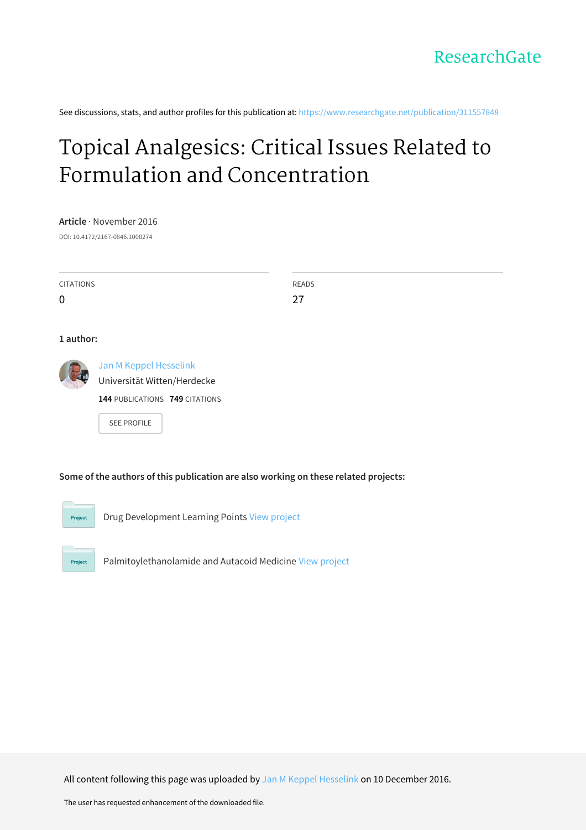See discussions, stats, and author profiles for this publication at: [https://www.researchgate.net/publication/311557848](https://www.researchgate.net/publication/311557848_Topical_Analgesics_Critical_Issues_Related_to_Formulation_and_Concentration?enrichId=rgreq-a16007459b67132d738b16057d565f16-XXX&enrichSource=Y292ZXJQYWdlOzMxMTU1Nzg0ODtBUzo0Mzc3ODQwNjMyODcyOTdAMTQ4MTM4NzI2MjYzNg%3D%3D&el=1_x_2&_esc=publicationCoverPdf)

# Topical Analgesics: Critical Issues Related to Formulation and [Concentration](https://www.researchgate.net/publication/311557848_Topical_Analgesics_Critical_Issues_Related_to_Formulation_and_Concentration?enrichId=rgreq-a16007459b67132d738b16057d565f16-XXX&enrichSource=Y292ZXJQYWdlOzMxMTU1Nzg0ODtBUzo0Mzc3ODQwNjMyODcyOTdAMTQ4MTM4NzI2MjYzNg%3D%3D&el=1_x_3&_esc=publicationCoverPdf)

**Article** · November 2016

DOI: 10.4172/2167-0846.1000274

| <b>CITATIONS</b><br>$\mathbf 0$ |                                                                                                               | <b>READS</b><br>27 |
|---------------------------------|---------------------------------------------------------------------------------------------------------------|--------------------|
| 1 author:                       |                                                                                                               |                    |
|                                 | Jan M Keppel Hesselink<br>Universität Witten/Herdecke<br>144 PUBLICATIONS 749 CITATIONS<br><b>SEE PROFILE</b> |                    |

**Some of the authors of this publication are also working on these related projects:**



Drug Development Learning Points View [project](https://www.researchgate.net/project/Drug-Development-Learning-Points?enrichId=rgreq-a16007459b67132d738b16057d565f16-XXX&enrichSource=Y292ZXJQYWdlOzMxMTU1Nzg0ODtBUzo0Mzc3ODQwNjMyODcyOTdAMTQ4MTM4NzI2MjYzNg%3D%3D&el=1_x_9&_esc=publicationCoverPdf)

Project

Palmitoylethanolamide and Autacoid Medicine View [project](https://www.researchgate.net/project/Palmitoylethanolamide-and-Autacoid-Medicine?enrichId=rgreq-a16007459b67132d738b16057d565f16-XXX&enrichSource=Y292ZXJQYWdlOzMxMTU1Nzg0ODtBUzo0Mzc3ODQwNjMyODcyOTdAMTQ4MTM4NzI2MjYzNg%3D%3D&el=1_x_9&_esc=publicationCoverPdf)

All content following this page was uploaded by Jan M Keppel [Hesselink](https://www.researchgate.net/profile/Jan_Keppel_Hesselink?enrichId=rgreq-a16007459b67132d738b16057d565f16-XXX&enrichSource=Y292ZXJQYWdlOzMxMTU1Nzg0ODtBUzo0Mzc3ODQwNjMyODcyOTdAMTQ4MTM4NzI2MjYzNg%3D%3D&el=1_x_10&_esc=publicationCoverPdf) on 10 December 2016.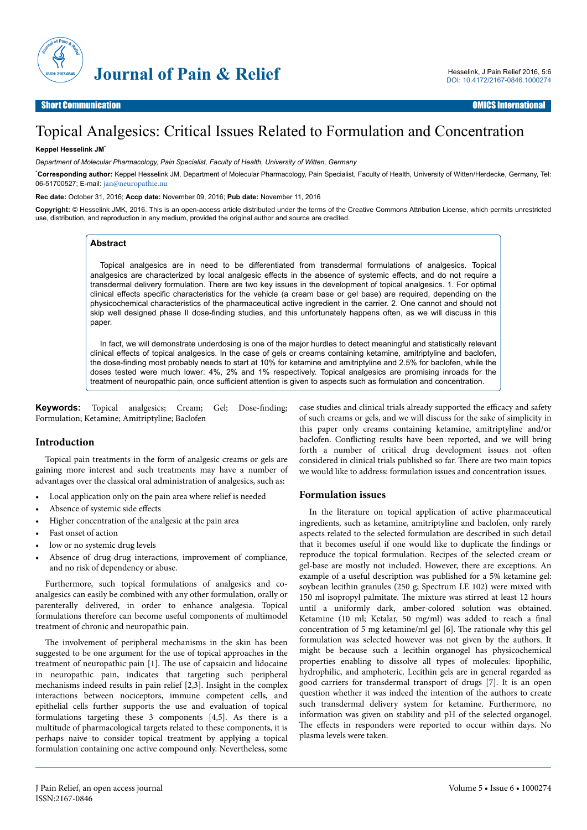

## Topical Analgesics: Critical Issues Related to Formulation and Concentration

### **Keppel Hesselink JM**\*

*Department of Molecular Pharmacology, Pain Specialist, Faculty of Health, University of Witten, Germany*

\***Corresponding author:** Keppel Hesselink JM, Department of Molecular Pharmacology, Pain Specialist, Faculty of Health, University of Witten/Herdecke, Germany, Tel: 06-51700527; E-mail: [jan@neuropathie.nu](mailto:jan@neuropathie.nu)

#### **Rec date:** October 31, 2016; **Accp date:** November 09, 2016; **Pub date:** November 11, 2016

**Copyright:** © Hesselink JMK, 2016. This is an open-access article distributed under the terms of the Creative Commons Attribution License, which permits unrestricted use, distribution, and reproduction in any medium, provided the original author and source are credited.

#### **Abstract**

Topical analgesics are in need to be differentiated from transdermal formulations of analgesics. Topical analgesics are characterized by local analgesic effects in the absence of systemic effects, and do not require a transdermal delivery formulation. There are two key issues in the development of topical analgesics. 1. For optimal clinical effects specific characteristics for the vehicle (a cream base or gel base) are required, depending on the physicochemical characteristics of the pharmaceutical active ingredient in the carrier. 2. One cannot and should not skip well designed phase II dose-finding studies, and this unfortunately happens often, as we will discuss in this paper.

In fact, we will demonstrate underdosing is one of the major hurdles to detect meaningful and statistically relevant clinical effects of topical analgesics. In the case of gels or creams containing ketamine, amitriptyline and baclofen, the dose-finding most probably needs to start at 10% for ketamine and amitriptyline and 2.5% for baclofen, while the doses tested were much lower: 4%, 2% and 1% respectively. Topical analgesics are promising inroads for the treatment of neuropathic pain, once sufficient attention is given to aspects such as formulation and concentration.

Keywords: Topical analgesics; Cream; Gel; Dose-finding; Formulation; Ketamine; Amitriptyline; Baclofen

#### **Introduction**

Topical pain treatments in the form of analgesic creams or gels are gaining more interest and such treatments may have a number of advantages over the classical oral administration of analgesics, such as:

- Local application only on the pain area where relief is needed
- Absence of systemic side effects
- Higher concentration of the analgesic at the pain area
- Fast onset of action
- low or no systemic drug levels
- Absence of drug-drug interactions, improvement of compliance, and no risk of dependency or abuse.

Furthermore, such topical formulations of analgesics and coanalgesics can easily be combined with any other formulation, orally or parenterally delivered, in order to enhance analgesia. Topical formulations therefore can become useful components of multimodel treatment of chronic and neuropathic pain.

The involvement of peripheral mechanisms in the skin has been suggested to be one argument for the use of topical approaches in the treatment of neuropathic pain [1]. Нe use of capsaicin and lidocaine in neuropathic pain, indicates that targeting such peripheral mechanisms indeed results in pain relief [2,3]. Insight in the complex interactions between nociceptors, immune competent cells, and epithelial cells further supports the use and evaluation of topical formulations targeting these 3 components [4,5]. As there is a multitude of pharmacological targets related to these components, it is perhaps naive to consider topical treatment by applying a topical formulation containing one active compound only. Nevertheless, some

case studies and clinical trials already supported the efficacy and safety of such creams or gels, and we will discuss for the sake of simplicity in this paper only creams containing ketamine, amitriptyline and/or baclofen. Conflicting results have been reported, and we will bring forth a number of critical drug development issues not often considered in clinical trials published so far. Нere are two main topics we would like to address: formulation issues and concentration issues.

#### **Formulation issues**

In the literature on topical application of active pharmaceutical ingredients, such as ketamine, amitriptyline and baclofen, only rarely aspects related to the selected formulation are described in such detail that it becomes useful if one would like to duplicate the findings or reproduce the topical formulation. Recipes of the selected cream or gel-base are mostly not included. However, there are exceptions. An example of a useful description was published for a 5% ketamine gel: soybean lecithin granules (250 g; Spectrum LE 102) were mixed with 150 ml isopropyl palmitate. Нe mixture was stirred at least 12 hours until a uniformly dark, amber-colored solution was obtained. Ketamine (10 ml; Ketalar, 50 mg/ml) was added to reach a final concentration of 5 mg ketamine/ml gel [6]. Нe rationale why this gel formulation was selected however was not given by the authors. It might be because such a lecithin organogel has physicochemical properties enabling to dissolve all types of molecules: lipophilic, hydrophilic, and amphoteric. Lecithin gels are in general regarded as good carriers for transdermal transport of drugs [7]. It is an open question whether it was indeed the intention of the authors to create such transdermal delivery system for ketamine. Furthermore, no information was given on stability and pH of the selected organogel. The effects in responders were reported to occur within days. No plasma levels were taken.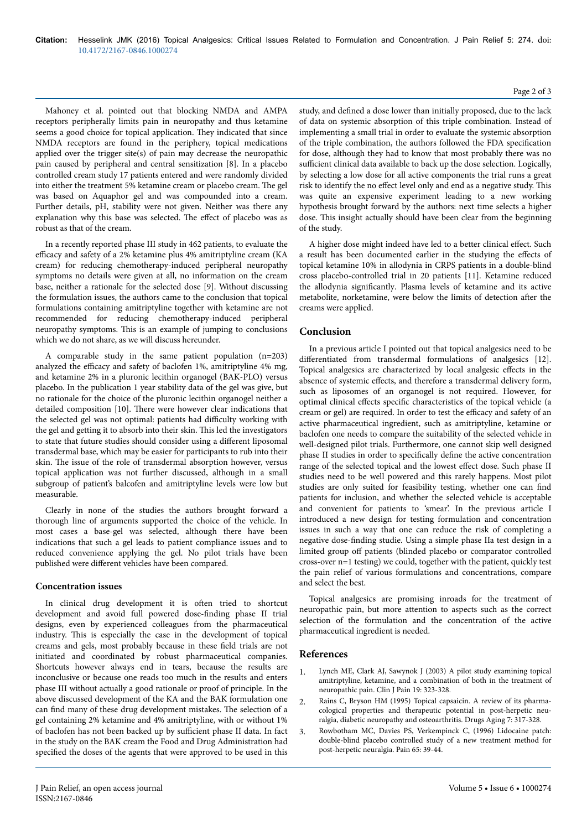Mahoney et al. pointed out that blocking NMDA and AMPA receptors peripherally limits pain in neuropathy and thus ketamine seems a good choice for topical application. They indicated that since NMDA receptors are found in the periphery, topical medications applied over the trigger site(s) of pain may decrease the neuropathic pain caused by peripheral and central sensitization [8]. In a placebo controlled cream study 17 patients entered and were randomly divided into either the treatment 5% ketamine cream or placebo cream. Нe gel was based on Aquaphor gel and was compounded into a cream. Further details, pH, stability were not given. Neither was there any explanation why this base was selected. The effect of placebo was as robust as that of the cream.

In a recently reported phase III study in 462 patients, to evaluate the efficacy and safety of a 2% ketamine plus 4% amitriptyline cream (KA cream) for reducing chemotherapy-induced peripheral neuropathy symptoms no details were given at all, no information on the cream base, neither a rationale for the selected dose [9]. Without discussing the formulation issues, the authors came to the conclusion that topical formulations containing amitriptyline together with ketamine are not recommended for reducing chemotherapy-induced peripheral neuropathy symptoms. This is an example of jumping to conclusions which we do not share, as we will discuss hereunder.

A comparable study in the same patient population (n=203) analyzed the efficacy and safety of baclofen 1%, amitriptyline 4% mg, and ketamine 2% in a pluronic lecithin organogel (BAK-PLO) versus placebo. In the publication 1 year stability data of the gel was give, but no rationale for the choice of the pluronic lecithin organogel neither a detailed composition [10]. Нere were however clear indications that the selected gel was not optimal: patients had difficulty working with the gel and getting it to absorb into their skin. This led the investigators to state that future studies should consider using a different liposomal transdermal base, which may be easier for participants to rub into their skin. Нe issue of the role of transdermal absorption however, versus topical application was not further discussed, although in a small subgroup of patient's balcofen and amitriptyline levels were low but measurable.

Clearly in none of the studies the authors brought forward a thorough line of arguments supported the choice of the vehicle. In most cases a base-gel was selected, although there have been indications that such a gel leads to patient compliance issues and to reduced convenience applying the gel. No pilot trials have been published were different vehicles have been compared.

#### **Concentration issues**

In clinical drug development it is often tried to shortcut development and avoid full powered dose-finding phase II trial designs, even by experienced colleagues from the pharmaceutical industry. This is especially the case in the development of topical creams and gels, most probably because in these field trials are not initiated and coordinated by robust pharmaceutical companies. Shortcuts however always end in tears, because the results are inconclusive or because one reads too much in the results and enters phase III without actually a good rationale or proof of principle. In the above discussed development of the KA and the BAK formulation one can find many of these drug development mistakes. Нe selection of a gel containing 2% ketamine and 4% amitriptyline, with or without 1% of baclofen has not been backed up by sufficient phase II data. In fact in the study on the BAK cream the Food and Drug Administration had specified the doses of the agents that were approved to be used in this

study, and defined a dose lower than initially proposed, due to the lack of data on systemic absorption of this triple combination. Instead of implementing a small trial in order to evaluate the systemic absorption of the triple combination, the authors followed the FDA specification for dose, although they had to know that most probably there was no sufficient clinical data available to back up the dose selection. Logically, by selecting a low dose for all active components the trial runs a great risk to identify the no effect level only and end as a negative study. This was quite an expensive experiment leading to a new working hypothesis brought forward by the authors: next time selects a higher dose. This insight actually should have been clear from the beginning of the study.

A higher dose might indeed have led to a better clinical effect. Such a result has been documented earlier in the studying the effects of topical ketamine 10% in allodynia in CRPS patients in a double-blind cross placebo-controlled trial in 20 patients [11]. Ketamine reduced the allodynia significantly. Plasma levels of ketamine and its active metabolite, norketamine, were below the limits of detection after the creams were applied.

#### **Conclusion**

In a previous article I pointed out that topical analgesics need to be differentiated from transdermal formulations of analgesics [12]. Topical analgesics are characterized by local analgesic effects in the absence of systemic effects, and therefore a transdermal delivery form, such as liposomes of an organogel is not required. However, for optimal clinical effects specific characteristics of the topical vehicle (a cream or gel) are required. In order to test the efficacy and safety of an active pharmaceutical ingredient, such as amitriptyline, ketamine or baclofen one needs to compare the suitability of the selected vehicle in well-designed pilot trials. Furthermore, one cannot skip well designed phase II studies in order to specifically define the active concentration range of the selected topical and the lowest effect dose. Such phase II studies need to be well powered and this rarely happens. Most pilot studies are only suited for feasibility testing, whether one can find patients for inclusion, and whether the selected vehicle is acceptable and convenient for patients to 'smear'. In the previous article I introduced a new design for testing formulation and concentration issues in such a way that one can reduce the risk of completing a negative dose-finding studie. Using a simple phase IIa test design in a limited group off patients (blinded placebo or comparator controlled cross-over n=1 testing) we could, together with the patient, quickly test the pain relief of various formulations and concentrations, compare and select the best.

Topical analgesics are promising inroads for the treatment of neuropathic pain, but more attention to aspects such as the correct selection of the formulation and the concentration of the active pharmaceutical ingredient is needed.

#### **References**

- 1. [Lynch ME, Clark AJ, Sawynok J \(2003\) A pilot study examining topical](http://dx.doi.org/10.1097/00002508-200309000-00007) [amitriptyline, ketamine, and a combination of both in the treatment of](http://dx.doi.org/10.1097/00002508-200309000-00007) [neuropathic pain. Clin J Pain 19: 323-328.](http://dx.doi.org/10.1097/00002508-200309000-00007)
- [Rains C, Bryson HM \(1995\) Topical capsaicin. A review of its pharma](http://dx.doi.org/10.2165/00002512-199507040-00007)[cological properties and therapeutic potential in post-herpetic neu](http://dx.doi.org/10.2165/00002512-199507040-00007)[ralgia, diabetic neuropathy and osteoarthritis. Drugs Aging 7: 317-328.](http://dx.doi.org/10.2165/00002512-199507040-00007)
- 3. Rowbotham MC, Davies PS, Verkempinck C, (1996) Lidocaine patch: double-blind placebo controlled study of a new treatment method for post-herpetic neuralgia. Pain 65: 39-44.

#### Page 2 of 3